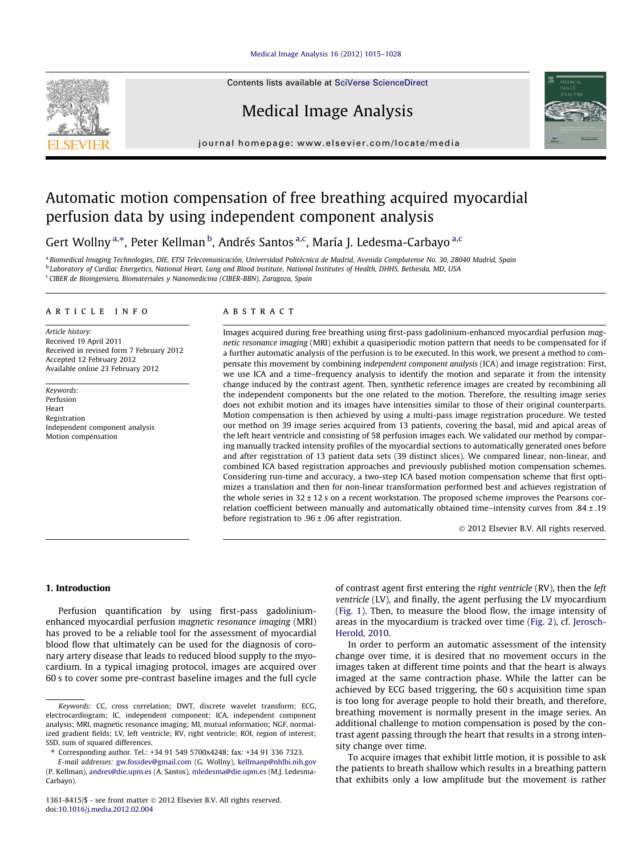## [Medical Image Analysis 16 \(2012\) 1015–1028](http://dx.doi.org/10.1016/j.media.2012.02.004)

Contents lists available at [SciVerse ScienceDirect](http://www.sciencedirect.com/science/journal/13618415)

# Medical Image Analysis

journal homepage: [www.elsevier.com/locate/media](http://www.elsevier.com/locate/media)



# Automatic motion compensation of free breathing acquired myocardial perfusion data by using independent component analysis

Gert Wollny <sup>a,</sup>\*, Peter Kellman <sup>b</sup>, Andrés Santos <sup>a,c</sup>, María J. Ledesma-Carbayo <sup>a,c</sup>

<sup>a</sup> Biomedical Imaging Technologies, DIE, ETSI Telecomunicación, Universidad Politécnica de Madrid, Avenida Complutense No. 30, 28040 Madrid, Spain <sup>b</sup> Laboratory of Cardiac Energetics, National Heart, Lung and Blood Institute, National Institutes of Health, DHHS, Bethesda, MD, USA <sup>c</sup> CIBER de Bioingeniera, Biomateriales y Nanomedicina (CIBER-BBN), Zaragoza, Spain

#### article info

Article history: Received 19 April 2011 Received in revised form 7 February 2012 Accepted 12 February 2012 Available online 23 February 2012

Keywords: Perfusion Heart Registration Independent component analysis Motion compensation

## ABSTRACT

Images acquired during free breathing using first-pass gadolinium-enhanced myocardial perfusion magnetic resonance imaging (MRI) exhibit a quasiperiodic motion pattern that needs to be compensated for if a further automatic analysis of the perfusion is to be executed. In this work, we present a method to compensate this movement by combining independent component analysis (ICA) and image registration: First, we use ICA and a time–frequency analysis to identify the motion and separate it from the intensity change induced by the contrast agent. Then, synthetic reference images are created by recombining all the independent components but the one related to the motion. Therefore, the resulting image series does not exhibit motion and its images have intensities similar to those of their original counterparts. Motion compensation is then achieved by using a multi-pass image registration procedure. We tested our method on 39 image series acquired from 13 patients, covering the basal, mid and apical areas of the left heart ventricle and consisting of 58 perfusion images each. We validated our method by comparing manually tracked intensity profiles of the myocardial sections to automatically generated ones before and after registration of 13 patient data sets (39 distinct slices). We compared linear, non-linear, and combined ICA based registration approaches and previously published motion compensation schemes. Considering run-time and accuracy, a two-step ICA based motion compensation scheme that first optimizes a translation and then for non-linear transformation performed best and achieves registration of the whole series in 32 ± 12 s on a recent workstation. The proposed scheme improves the Pearsons correlation coefficient between manually and automatically obtained time–intensity curves from .84 ± .19 before registration to .96 ± .06 after registration.

- 2012 Elsevier B.V. All rights reserved.

## 1. Introduction

Perfusion quantification by using first-pass gadoliniumenhanced myocardial perfusion magnetic resonance imaging (MRI) has proved to be a reliable tool for the assessment of myocardial blood flow that ultimately can be used for the diagnosis of coronary artery disease that leads to reduced blood supply to the myocardium. In a typical imaging protocol, images are acquired over 60 s to cover some pre-contrast baseline images and the full cycle of contrast agent first entering the right ventricle (RV), then the left ventricle (LV), and finally, the agent perfusing the LV myocardium ([Fig. 1\)](#page-1-0). Then, to measure the blood flow, the image intensity of areas in the myocardium is tracked over time [\(Fig. 2](#page-1-0)), cf. [Jerosch-](#page-13-0)[Herold, 2010.](#page-13-0)

In order to perform an automatic assessment of the intensity change over time, it is desired that no movement occurs in the images taken at different time points and that the heart is always imaged at the same contraction phase. While the latter can be achieved by ECG based triggering, the 60 s acquisition time span is too long for average people to hold their breath, and therefore, breathing movement is normally present in the image series. An additional challenge to motion compensation is posed by the contrast agent passing through the heart that results in a strong intensity change over time.

To acquire images that exhibit little motion, it is possible to ask the patients to breath shallow which results in a breathing pattern that exhibits only a low amplitude but the movement is rather

Keywords: CC, cross correlation; DWT, discrete wavelet transform; ECG, electrocardiogram; IC, independent component; ICA, independent component analysis; MRI, magnetic resonance imaging; MI, mutual information; NGF, normalized gradient fields; LV, left ventricle; RV, right ventricle; ROI, region of interest; SSD, sum of squared differences.

Corresponding author. Tel.: +34 91 549 5700x4248; fax: +34 91 336 7323.

E-mail addresses: [gw.fossdev@gmail.com](mailto:gw.fossdev@gmail.com) (G. Wollny), [kellmanp@nhlbi.nih.gov](mailto:kellmanp@nhlbi.nih.gov) (P. Kellman), [andres@die.upm.es](mailto:andres@die.upm.es) (A. Santos), [mledesma@die.upm.es](mailto:mledesma@die.upm.es) (M.J. Ledesma-Carbayo).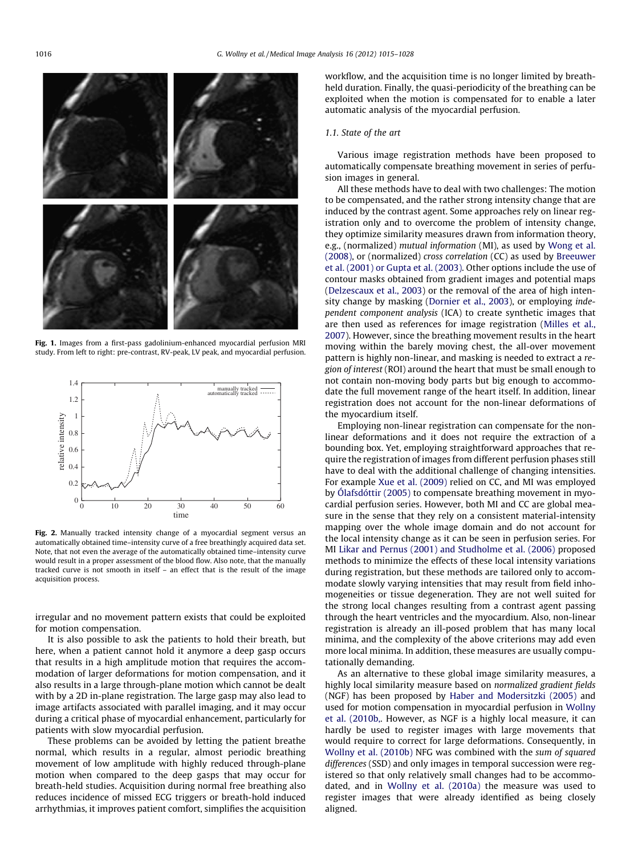<span id="page-1-0"></span>

Fig. 1. Images from a first-pass gadolinium-enhanced myocardial perfusion MRI study. From left to right: pre-contrast, RV-peak, LV peak, and myocardial perfusion.



Fig. 2. Manually tracked intensity change of a myocardial segment versus an automatically obtained time–intensity curve of a free breathingly acquired data set. Note, that not even the average of the automatically obtained time–intensity curve would result in a proper assessment of the blood flow. Also note, that the manually tracked curve is not smooth in itself – an effect that is the result of the image acquisition process.

irregular and no movement pattern exists that could be exploited for motion compensation.

It is also possible to ask the patients to hold their breath, but here, when a patient cannot hold it anymore a deep gasp occurs that results in a high amplitude motion that requires the accommodation of larger deformations for motion compensation, and it also results in a large through-plane motion which cannot be dealt with by a 2D in-plane registration. The large gasp may also lead to image artifacts associated with parallel imaging, and it may occur during a critical phase of myocardial enhancement, particularly for patients with slow myocardial perfusion.

These problems can be avoided by letting the patient breathe normal, which results in a regular, almost periodic breathing movement of low amplitude with highly reduced through-plane motion when compared to the deep gasps that may occur for breath-held studies. Acquisition during normal free breathing also reduces incidence of missed ECG triggers or breath-hold induced arrhythmias, it improves patient comfort, simplifies the acquisition workflow, and the acquisition time is no longer limited by breathheld duration. Finally, the quasi-periodicity of the breathing can be exploited when the motion is compensated for to enable a later automatic analysis of the myocardial perfusion.

## 1.1. State of the art

Various image registration methods have been proposed to automatically compensate breathing movement in series of perfusion images in general.

All these methods have to deal with two challenges: The motion to be compensated, and the rather strong intensity change that are induced by the contrast agent. Some approaches rely on linear registration only and to overcome the problem of intensity change, they optimize similarity measures drawn from information theory, e.g., (normalized) mutual information (MI), as used by [Wong et al.](#page-13-0) [\(2008\),](#page-13-0) or (normalized) cross correlation (CC) as used by [Breeuwer](#page-12-0) [et al. \(2001\) or Gupta et al. \(2003\).](#page-12-0) Other options include the use of contour masks obtained from gradient images and potential maps ([Delzescaux et al., 2003\)](#page-12-0) or the removal of the area of high intensity change by masking [\(Dornier et al., 2003](#page-12-0)), or employing independent component analysis (ICA) to create synthetic images that are then used as references for image registration ([Milles et al.,](#page-13-0) [2007\)](#page-13-0). However, since the breathing movement results in the heart moving within the barely moving chest, the all-over movement pattern is highly non-linear, and masking is needed to extract a region of interest (ROI) around the heart that must be small enough to not contain non-moving body parts but big enough to accommodate the full movement range of the heart itself. In addition, linear registration does not account for the non-linear deformations of the myocardium itself.

Employing non-linear registration can compensate for the nonlinear deformations and it does not require the extraction of a bounding box. Yet, employing straightforward approaches that require the registration of images from different perfusion phases still have to deal with the additional challenge of changing intensities. For example [Xue et al. \(2009\)](#page-13-0) relied on CC, and MI was employed by [Ólafsdóttir \(2005\)](#page-13-0) to compensate breathing movement in myocardial perfusion series. However, both MI and CC are global measure in the sense that they rely on a consistent material-intensity mapping over the whole image domain and do not account for the local intensity change as it can be seen in perfusion series. For MI [Likar and Pernus \(2001\) and Studholme et al. \(2006\)](#page-13-0) proposed methods to minimize the effects of these local intensity variations during registration, but these methods are tailored only to accommodate slowly varying intensities that may result from field inhomogeneities or tissue degeneration. They are not well suited for the strong local changes resulting from a contrast agent passing through the heart ventricles and the myocardium. Also, non-linear registration is already an ill-posed problem that has many local minima, and the complexity of the above criterions may add even more local minima. In addition, these measures are usually computationally demanding.

As an alternative to these global image similarity measures, a highly local similarity measure based on normalized gradient fields (NGF) has been proposed by [Haber and Modersitzki \(2005\)](#page-12-0) and used for motion compensation in myocardial perfusion in [Wollny](#page-13-0) [et al. \(2010b,.](#page-13-0) However, as NGF is a highly local measure, it can hardly be used to register images with large movements that would require to correct for large deformations. Consequently, in [Wollny et al. \(2010b\)](#page-13-0) NFG was combined with the sum of squared differences (SSD) and only images in temporal succession were registered so that only relatively small changes had to be accommodated, and in [Wollny et al. \(2010a\)](#page-13-0) the measure was used to register images that were already identified as being closely aligned.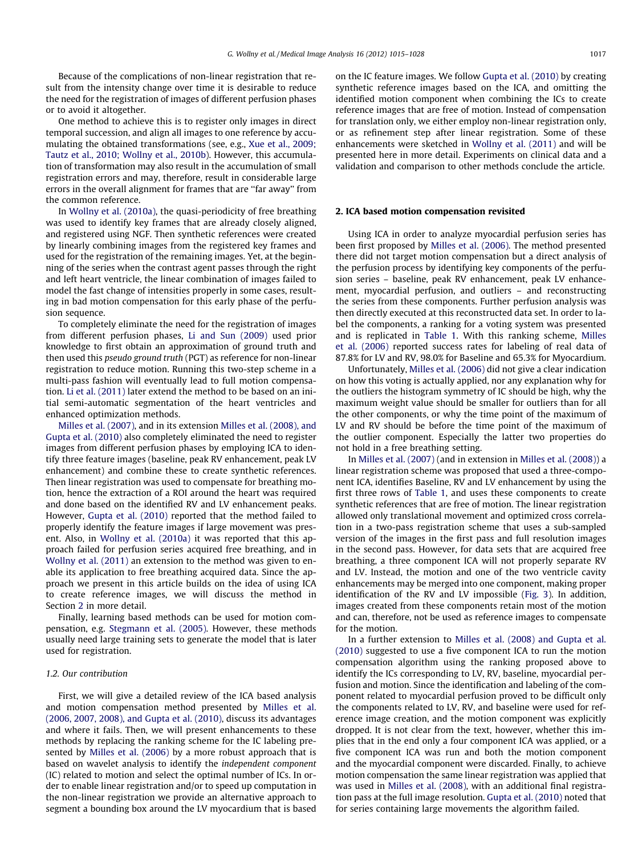Because of the complications of non-linear registration that result from the intensity change over time it is desirable to reduce the need for the registration of images of different perfusion phases or to avoid it altogether.

One method to achieve this is to register only images in direct temporal succession, and align all images to one reference by accumulating the obtained transformations (see, e.g., [Xue et al., 2009;](#page-13-0) [Tautz et al., 2010; Wollny et al., 2010b\)](#page-13-0). However, this accumulation of transformation may also result in the accumulation of small registration errors and may, therefore, result in considerable large errors in the overall alignment for frames that are ''far away'' from the common reference.

In [Wollny et al. \(2010a\)](#page-13-0), the quasi-periodicity of free breathing was used to identify key frames that are already closely aligned, and registered using NGF. Then synthetic references were created by linearly combining images from the registered key frames and used for the registration of the remaining images. Yet, at the beginning of the series when the contrast agent passes through the right and left heart ventricle, the linear combination of images failed to model the fast change of intensities properly in some cases, resulting in bad motion compensation for this early phase of the perfusion sequence.

To completely eliminate the need for the registration of images from different perfusion phases, [Li and Sun \(2009\)](#page-13-0) used prior knowledge to first obtain an approximation of ground truth and then used this pseudo ground truth (PGT) as reference for non-linear registration to reduce motion. Running this two-step scheme in a multi-pass fashion will eventually lead to full motion compensation. [Li et al. \(2011\)](#page-13-0) later extend the method to be based on an initial semi-automatic segmentation of the heart ventricles and enhanced optimization methods.

[Milles et al. \(2007\),](#page-13-0) and in its extension [Milles et al. \(2008\), and](#page-13-0) [Gupta et al. \(2010\)](#page-13-0) also completely eliminated the need to register images from different perfusion phases by employing ICA to identify three feature images (baseline, peak RV enhancement, peak LV enhancement) and combine these to create synthetic references. Then linear registration was used to compensate for breathing motion, hence the extraction of a ROI around the heart was required and done based on the identified RV and LV enhancement peaks. However, [Gupta et al. \(2010\)](#page-12-0) reported that the method failed to properly identify the feature images if large movement was present. Also, in [Wollny et al. \(2010a\)](#page-13-0) it was reported that this approach failed for perfusion series acquired free breathing, and in [Wollny et al. \(2011\)](#page-13-0) an extension to the method was given to enable its application to free breathing acquired data. Since the approach we present in this article builds on the idea of using ICA to create reference images, we will discuss the method in Section 2 in more detail.

Finally, learning based methods can be used for motion compensation, e.g. [Stegmann et al. \(2005\)](#page-13-0). However, these methods usually need large training sets to generate the model that is later used for registration.

#### 1.2. Our contribution

First, we will give a detailed review of the ICA based analysis and motion compensation method presented by [Milles et al.](#page-13-0) [\(2006, 2007, 2008\), and Gupta et al. \(2010\),](#page-13-0) discuss its advantages and where it fails. Then, we will present enhancements to these methods by replacing the ranking scheme for the IC labeling presented by [Milles et al. \(2006\)](#page-13-0) by a more robust approach that is based on wavelet analysis to identify the independent component (IC) related to motion and select the optimal number of ICs. In order to enable linear registration and/or to speed up computation in the non-linear registration we provide an alternative approach to segment a bounding box around the LV myocardium that is based on the IC feature images. We follow [Gupta et al. \(2010\)](#page-12-0) by creating synthetic reference images based on the ICA, and omitting the identified motion component when combining the ICs to create reference images that are free of motion. Instead of compensation for translation only, we either employ non-linear registration only, or as refinement step after linear registration. Some of these enhancements were sketched in [Wollny et al. \(2011\)](#page-13-0) and will be presented here in more detail. Experiments on clinical data and a validation and comparison to other methods conclude the article.

## 2. ICA based motion compensation revisited

Using ICA in order to analyze myocardial perfusion series has been first proposed by [Milles et al. \(2006\).](#page-13-0) The method presented there did not target motion compensation but a direct analysis of the perfusion process by identifying key components of the perfusion series – baseline, peak RV enhancement, peak LV enhancement, myocardial perfusion, and outliers – and reconstructing the series from these components. Further perfusion analysis was then directly executed at this reconstructed data set. In order to label the components, a ranking for a voting system was presented and is replicated in [Table 1.](#page-3-0) With this ranking scheme, [Milles](#page-13-0) [et al. \(2006\)](#page-13-0) reported success rates for labeling of real data of 87.8% for LV and RV, 98.0% for Baseline and 65.3% for Myocardium.

Unfortunately, [Milles et al. \(2006\)](#page-13-0) did not give a clear indication on how this voting is actually applied, nor any explanation why for the outliers the histogram symmetry of IC should be high, why the maximum weight value should be smaller for outliers than for all the other components, or why the time point of the maximum of LV and RV should be before the time point of the maximum of the outlier component. Especially the latter two properties do not hold in a free breathing setting.

In [Milles et al. \(2007\)](#page-13-0) (and in extension in [Milles et al. \(2008\)](#page-13-0)) a linear registration scheme was proposed that used a three-component ICA, identifies Baseline, RV and LV enhancement by using the first three rows of [Table 1,](#page-3-0) and uses these components to create synthetic references that are free of motion. The linear registration allowed only translational movement and optimized cross correlation in a two-pass registration scheme that uses a sub-sampled version of the images in the first pass and full resolution images in the second pass. However, for data sets that are acquired free breathing, a three component ICA will not properly separate RV and LV. Instead, the motion and one of the two ventricle cavity enhancements may be merged into one component, making proper identification of the RV and LV impossible [\(Fig. 3\)](#page-3-0). In addition, images created from these components retain most of the motion and can, therefore, not be used as reference images to compensate for the motion.

In a further extension to [Milles et al. \(2008\) and Gupta et al.](#page-13-0) [\(2010\)](#page-13-0) suggested to use a five component ICA to run the motion compensation algorithm using the ranking proposed above to identify the ICs corresponding to LV, RV, baseline, myocardial perfusion and motion. Since the identification and labeling of the component related to myocardial perfusion proved to be difficult only the components related to LV, RV, and baseline were used for reference image creation, and the motion component was explicitly dropped. It is not clear from the text, however, whether this implies that in the end only a four component ICA was applied, or a five component ICA was run and both the motion component and the myocardial component were discarded. Finally, to achieve motion compensation the same linear registration was applied that was used in [Milles et al. \(2008\),](#page-13-0) with an additional final registration pass at the full image resolution. [Gupta et al. \(2010\)](#page-12-0) noted that for series containing large movements the algorithm failed.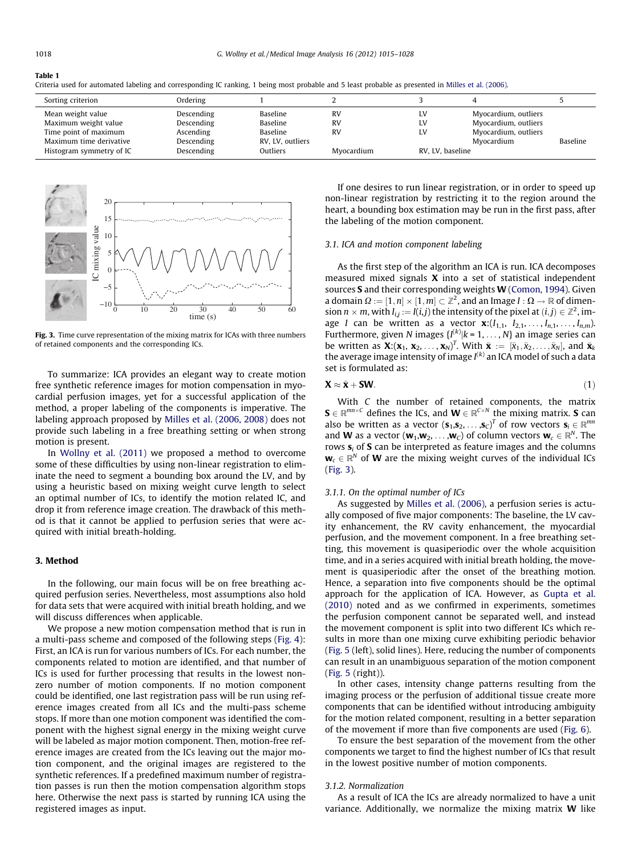#### <span id="page-3-0"></span>Table 1

Criteria used for automated labeling and corresponding IC ranking, 1 being most probable and 5 least probable as presented in [Milles et al. \(2006\)](#page-13-0).

| Sorting criterion                                                  | Ordering                              |                                  |                       |                  |                                                                      |          |
|--------------------------------------------------------------------|---------------------------------------|----------------------------------|-----------------------|------------------|----------------------------------------------------------------------|----------|
| Mean weight value<br>Maximum weight value<br>Time point of maximum | Descending<br>Descending<br>Ascending | Baseline<br>Baseline<br>Baseline | <b>RV</b><br>RV<br>RV | LV<br>LV<br>LV   | Myocardium, outliers<br>Myocardium, outliers<br>Myocardium, outliers |          |
| Maximum time derivative<br>Histogram symmetry of IC                | Descending<br>Descending              | RV, LV, outliers<br>Outliers     | Myocardium            | RV, LV, baseline | Mvocardium                                                           | Baseline |



Fig. 3. Time curve representation of the mixing matrix for ICAs with three numbers of retained components and the corresponding ICs.

To summarize: ICA provides an elegant way to create motion free synthetic reference images for motion compensation in myocardial perfusion images, yet for a successful application of the method, a proper labeling of the components is imperative. The labeling approach proposed by [Milles et al. \(2006, 2008\)](#page-13-0) does not provide such labeling in a free breathing setting or when strong motion is present.

In [Wollny et al. \(2011\)](#page-13-0) we proposed a method to overcome some of these difficulties by using non-linear registration to eliminate the need to segment a bounding box around the LV, and by using a heuristic based on mixing weight curve length to select an optimal number of ICs, to identify the motion related IC, and drop it from reference image creation. The drawback of this method is that it cannot be applied to perfusion series that were acquired with initial breath-holding.

## 3. Method

In the following, our main focus will be on free breathing acquired perfusion series. Nevertheless, most assumptions also hold for data sets that were acquired with initial breath holding, and we will discuss differences when applicable.

We propose a new motion compensation method that is run in a multi-pass scheme and composed of the following steps ([Fig. 4\)](#page-4-0): First, an ICA is run for various numbers of ICs. For each number, the components related to motion are identified, and that number of ICs is used for further processing that results in the lowest nonzero number of motion components. If no motion component could be identified, one last registration pass will be run using reference images created from all ICs and the multi-pass scheme stops. If more than one motion component was identified the component with the highest signal energy in the mixing weight curve will be labeled as major motion component. Then, motion-free reference images are created from the ICs leaving out the major motion component, and the original images are registered to the synthetic references. If a predefined maximum number of registration passes is run then the motion compensation algorithm stops here. Otherwise the next pass is started by running ICA using the registered images as input.

If one desires to run linear registration, or in order to speed up non-linear registration by restricting it to the region around the heart, a bounding box estimation may be run in the first pass, after the labeling of the motion component.

#### 3.1. ICA and motion component labeling

As the first step of the algorithm an ICA is run. ICA decomposes measured mixed signals X into a set of statistical independent sources S and their corresponding weights W ([Comon, 1994](#page-12-0)). Given a domain  $\Omega:=[1,n]\times[1,m]\subset\mathbb{Z}^2$ , and an Image  $I:\Omega\to\mathbb{R}$  of dimension  $n \times m$ , with  $I_{i,j} := I(i,j)$  the intensity of the pixel at  $(i,j) \in \mathbb{Z}^2$ , image *I* can be written as a vector  $\mathbf{x}:(I_{1,1}, I_{2,1},..., I_{n,1},..., I_{n,m})$ . Furthermore, given N images  $\{I^{(k)}|k=1,\ldots,N\}$  an image series can be written as  $\mathbf{X}:(\mathbf{x}_1, \mathbf{x}_2, \ldots, \mathbf{x}_N)^T$ . With  $\bar{\mathbf{x}} := [\bar{x}_1, \bar{x}_2, \ldots, \bar{x}_N]$ , and  $\bar{\mathbf{x}}_k$ the average image intensity of image  $I^{(k)}$  an ICA model of such a data set is formulated as:

$$
\mathbf{X} \approx \bar{\mathbf{x}} + \mathbf{SW}.\tag{1}
$$

With C the number of retained components, the matrix  $S \in \mathbb{R}^{mn \times C}$  defines the ICs, and  $W \in \mathbb{R}^{C \times N}$  the mixing matrix. S can also be written as a vector  $(\mathbf{s}_1, \mathbf{s}_2, \dots, \mathbf{s}_C)^T$  of row vectors  $\mathbf{s}_i \in \mathbb{R}^{mn}$ and **W** as a vector  $(\mathbf{w}_1, \mathbf{w}_2, \dots, \mathbf{w}_C)$  of column vectors  $\mathbf{w}_c \in \mathbb{R}^N$ . The rows  $s_i$  of S can be interpreted as feature images and the columns  $w_c \in \mathbb{R}^N$  of W are the mixing weight curves of the individual ICs (Fig. 3).

#### 3.1.1. On the optimal number of ICs

As suggested by [Milles et al. \(2006\),](#page-13-0) a perfusion series is actually composed of five major components: The baseline, the LV cavity enhancement, the RV cavity enhancement, the myocardial perfusion, and the movement component. In a free breathing setting, this movement is quasiperiodic over the whole acquisition time, and in a series acquired with initial breath holding, the movement is quasiperiodic after the onset of the breathing motion. Hence, a separation into five components should be the optimal approach for the application of ICA. However, as [Gupta et al.](#page-12-0) [\(2010\)](#page-12-0) noted and as we confirmed in experiments, sometimes the perfusion component cannot be separated well, and instead the movement component is split into two different ICs which results in more than one mixing curve exhibiting periodic behavior ([Fig. 5](#page-4-0) (left), solid lines). Here, reducing the number of components can result in an unambiguous separation of the motion component ([Fig. 5](#page-4-0) (right)).

In other cases, intensity change patterns resulting from the imaging process or the perfusion of additional tissue create more components that can be identified without introducing ambiguity for the motion related component, resulting in a better separation of the movement if more than five components are used [\(Fig. 6\)](#page-5-0).

To ensure the best separation of the movement from the other components we target to find the highest number of ICs that result in the lowest positive number of motion components.

#### 3.1.2. Normalization

As a result of ICA the ICs are already normalized to have a unit variance. Additionally, we normalize the mixing matrix  **like**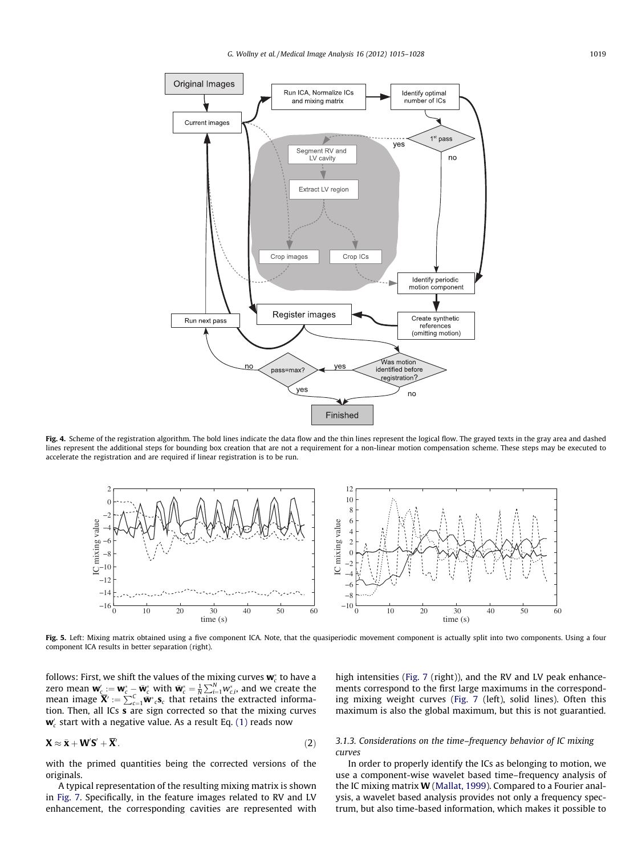<span id="page-4-0"></span>

Fig. 4. Scheme of the registration algorithm. The bold lines indicate the data flow and the thin lines represent the logical flow. The grayed texts in the gray area and dashed lines represent the additional steps for bounding box creation that are not a requirement for a non-linear motion compensation scheme. These steps may be executed to accelerate the registration and are required if linear registration is to be run.



Fig. 5. Left: Mixing matrix obtained using a five component ICA. Note, that the quasiperiodic movement component is actually split into two components. Using a four component ICA results in better separation (right).

follows: First, we shift the values of the mixing curves  $\mathbf{w}^*_c$  to have a zero mean  $\mathbf{w}'_c := \mathbf{w}_c^* - \bar{\mathbf{w}}_c^*$  with  $\bar{\mathbf{w}}_c^* = \frac{1}{N} \sum_{i=1}^N w_{c,i}^*$ , and we create the mean image  $\overline{\mathbf{X}}' := \sum_{c=1}^N \bar{\mathbf{w}}^* c \mathbf{s}_c$  that retains the extracted information. Then, all ICs s are sign corrected so that the mixing curves  $\mathbf{w}_c'$  start with a negative value. As a result Eq. [\(1\)](#page-3-0) reads now

$$
\mathbf{X} \approx \bar{\mathbf{x}} + \mathbf{W}'\mathbf{S}' + \overline{\mathbf{X}}'.\tag{2}
$$

with the primed quantities being the corrected versions of the originals.

A typical representation of the resulting mixing matrix is shown in [Fig. 7](#page-5-0). Specifically, in the feature images related to RV and LV enhancement, the corresponding cavities are represented with high intensities [\(Fig. 7](#page-5-0) (right)), and the RV and LV peak enhancements correspond to the first large maximums in the corresponding mixing weight curves ([Fig. 7](#page-5-0) (left), solid lines). Often this maximum is also the global maximum, but this is not guarantied.

# 3.1.3. Considerations on the time–frequency behavior of IC mixing curves

In order to properly identify the ICs as belonging to motion, we use a component-wise wavelet based time–frequency analysis of the IC mixing matrix W [\(Mallat, 1999](#page-13-0)). Compared to a Fourier analysis, a wavelet based analysis provides not only a frequency spectrum, but also time-based information, which makes it possible to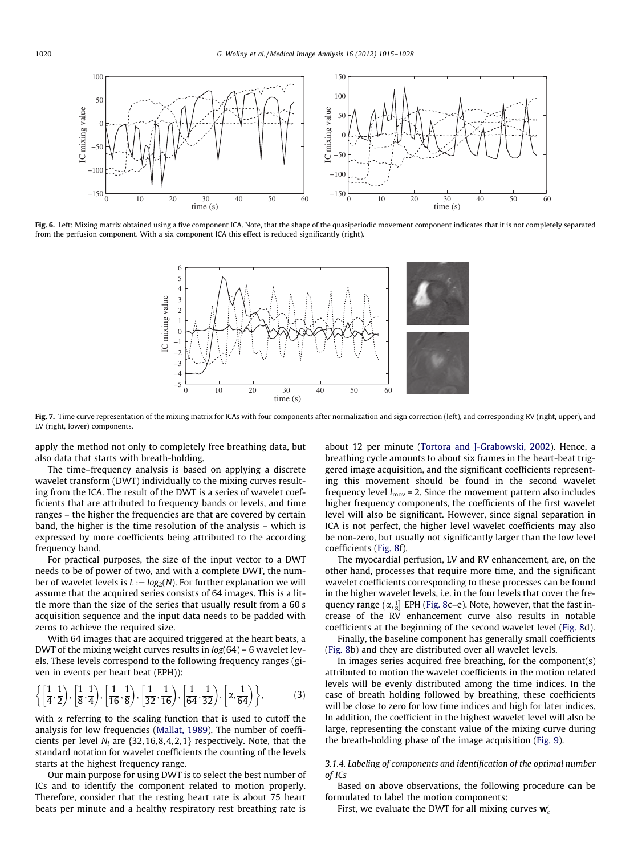<span id="page-5-0"></span>

Fig. 6. Left: Mixing matrix obtained using a five component ICA. Note, that the shape of the quasiperiodic movement component indicates that it is not completely separated from the perfusion component. With a six component ICA this effect is reduced significantly (right).



Fig. 7. Time curve representation of the mixing matrix for ICAs with four components after normalization and sign correction (left), and corresponding RV (right, upper), and LV (right, lower) components.

apply the method not only to completely free breathing data, but also data that starts with breath-holding.

The time–frequency analysis is based on applying a discrete wavelet transform (DWT) individually to the mixing curves resulting from the ICA. The result of the DWT is a series of wavelet coefficients that are attributed to frequency bands or levels, and time ranges – the higher the frequencies are that are covered by certain band, the higher is the time resolution of the analysis – which is expressed by more coefficients being attributed to the according frequency band.

For practical purposes, the size of the input vector to a DWT needs to be of power of two, and with a complete DWT, the number of wavelet levels is  $L := log_2(N)$ . For further explanation we will assume that the acquired series consists of 64 images. This is a little more than the size of the series that usually result from a 60 s acquisition sequence and the input data needs to be padded with zeros to achieve the required size.

With 64 images that are acquired triggered at the heart beats, a DWT of the mixing weight curves results in  $log(64)$  = 6 wavelet levels. These levels correspond to the following frequency ranges (given in events per heart beat (EPH)):

$$
\left\{ \left[ \frac{1}{4}, \frac{1}{2} \right], \left[ \frac{1}{8}, \frac{1}{4} \right], \left[ \frac{1}{16}, \frac{1}{8} \right], \left[ \frac{1}{32}, \frac{1}{16} \right], \left[ \frac{1}{64}, \frac{1}{32} \right], \left[ \alpha, \frac{1}{64} \right) \right\},
$$
(3)

with  $\alpha$  referring to the scaling function that is used to cutoff the analysis for low frequencies [\(Mallat, 1989\)](#page-13-0). The number of coefficients per level  $N_l$  are {32,16,8,4,2,1} respectively. Note, that the standard notation for wavelet coefficients the counting of the levels starts at the highest frequency range.

Our main purpose for using DWT is to select the best number of ICs and to identify the component related to motion properly. Therefore, consider that the resting heart rate is about 75 heart beats per minute and a healthy respiratory rest breathing rate is about 12 per minute ([Tortora and J-Grabowski, 2002\)](#page-13-0). Hence, a breathing cycle amounts to about six frames in the heart-beat triggered image acquisition, and the significant coefficients representing this movement should be found in the second wavelet frequency level  $l_{\text{mov}}$  = 2. Since the movement pattern also includes higher frequency components, the coefficients of the first wavelet level will also be significant. However, since signal separation in ICA is not perfect, the higher level wavelet coefficients may also be non-zero, but usually not significantly larger than the low level coefficients [\(Fig. 8f](#page-6-0)).

The myocardial perfusion, LV and RV enhancement, are, on the other hand, processes that require more time, and the significant wavelet coefficients corresponding to these processes can be found in the higher wavelet levels, i.e. in the four levels that cover the fre- $\frac{1}{2}$  and  $\frac{1}{2}$  and  $\frac{1}{2}$  and  $\frac{1}{2}$  EPH ([Fig. 8c](#page-6-0)–e). Note, however, that the fast increase of the RV enhancement curve also results in notable coefficients at the beginning of the second wavelet level [\(Fig. 8](#page-6-0)d).

Finally, the baseline component has generally small coefficients ([Fig. 8](#page-6-0)b) and they are distributed over all wavelet levels.

In images series acquired free breathing, for the component(s) attributed to motion the wavelet coefficients in the motion related levels will be evenly distributed among the time indices. In the case of breath holding followed by breathing, these coefficients will be close to zero for low time indices and high for later indices. In addition, the coefficient in the highest wavelet level will also be large, representing the constant value of the mixing curve during the breath-holding phase of the image acquisition [\(Fig. 9\)](#page-6-0).

# 3.1.4. Labeling of components and identification of the optimal number of ICs

Based on above observations, the following procedure can be formulated to label the motion components:

First, we evaluate the DWT for all mixing curves  $\mathbf{w}_c$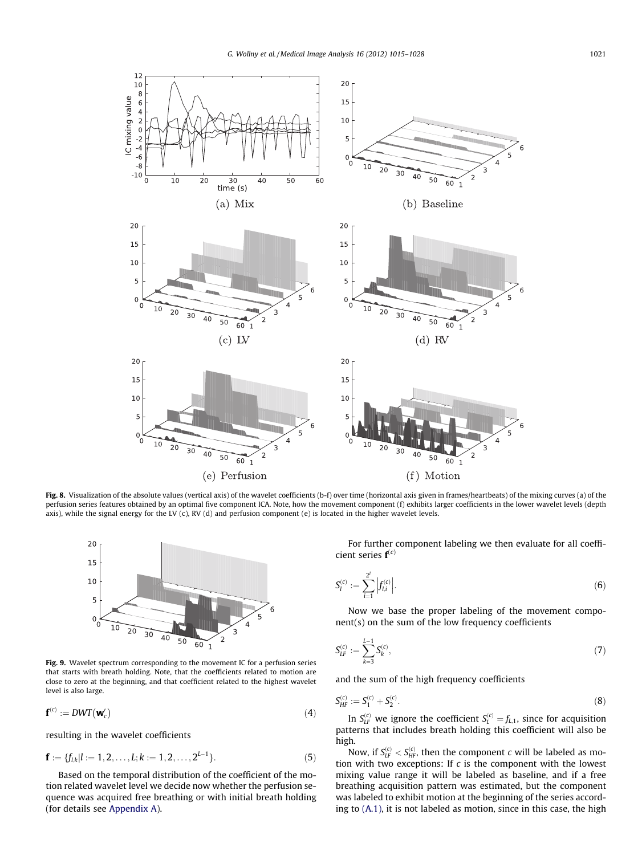<span id="page-6-0"></span>

Fig. 8. Visualization of the absolute values (vertical axis) of the wavelet coefficients (b-f) over time (horizontal axis given in frames/heartbeats) of the mixing curves (a) of the perfusion series features obtained by an optimal five component ICA. Note, how the movement component (f) exhibits larger coefficients in the lower wavelet levels (depth axis), while the signal energy for the LV (c), RV (d) and perfusion component (e) is located in the higher wavelet levels.



Fig. 9. Wavelet spectrum corresponding to the movement IC for a perfusion series that starts with breath holding. Note, that the coefficients related to motion are close to zero at the beginning, and that coefficient related to the highest wavelet level is also large.

$$
\mathbf{f}^{(c)} := DWT(\mathbf{w}'_c) \tag{4}
$$

resulting in the wavelet coefficients

$$
\mathbf{f} := \{f_{l,k} | l := 1, 2, \dots, L; k := 1, 2, \dots, 2^{L-1}\}.
$$
\n(5)

Based on the temporal distribution of the coefficient of the motion related wavelet level we decide now whether the perfusion sequence was acquired free breathing or with initial breath holding (for details see [Appendix A](#page-12-0)).

For further component labeling we then evaluate for all coefficient series  $f^{(c)}$ 

$$
S_l^{(c)} := \sum_{i=1}^{2^l} \left| f_{l,i}^{(c)} \right|.
$$
 (6)

Now we base the proper labeling of the movement component(s) on the sum of the low frequency coefficients

$$
S_{LF}^{(c)} := \sum_{k=3}^{L-1} S_k^{(c)},\tag{7}
$$

and the sum of the high frequency coefficients

$$
S_{HF}^{(c)} := S_1^{(c)} + S_2^{(c)}.\tag{8}
$$

In  $S_{LF}^{(c)}$  we ignore the coefficient  $S_{L}^{(c)} = f_{L,1}$ , since for acquisition patterns that includes breath holding this coefficient will also be high.

Now, if  $S_{LF}^{(c)} < S_{HF}^{(c)}$ , then the component c will be labeled as motion with two exceptions: If  $c$  is the component with the lowest mixing value range it will be labeled as baseline, and if a free breathing acquisition pattern was estimated, but the component was labeled to exhibit motion at the beginning of the series according to [\(A.1\)](#page-12-0), it is not labeled as motion, since in this case, the high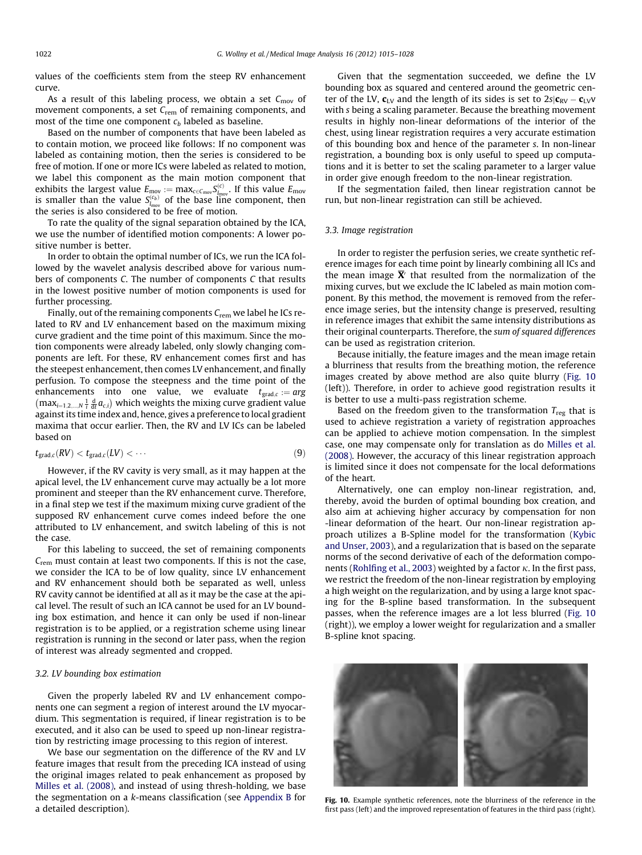values of the coefficients stem from the steep RV enhancement curve.

As a result of this labeling process, we obtain a set  $C_{\text{mov}}$  of movement components, a set  $C_{\text{rem}}$  of remaining components, and most of the time one component  $c<sub>b</sub>$  labeled as baseline.

Based on the number of components that have been labeled as to contain motion, we proceed like follows: If no component was labeled as containing motion, then the series is considered to be free of motion. If one or more ICs were labeled as related to motion, we label this component as the main motion component that exhibits the largest value  $E_{\text{mov}} := \max_{c \in C_{\text{mov}}} S_{\text{low}}^{(c)}$ . If this value  $E_{\text{mov}}$  is smaller than the value  $S_{\text{low}}^{(c)}$  of the base line component, then the series is also considered to be free of motion.

To rate the quality of the signal separation obtained by the ICA, we use the number of identified motion components: A lower positive number is better.

In order to obtain the optimal number of ICs, we run the ICA followed by the wavelet analysis described above for various numbers of components C. The number of components C that results in the lowest positive number of motion components is used for further processing.

Finally, out of the remaining components  $C_{\text{rem}}$  we label he ICs related to RV and LV enhancement based on the maximum mixing curve gradient and the time point of this maximum. Since the motion components were already labeled, only slowly changing components are left. For these, RV enhancement comes first and has the steepest enhancement, then comes LV enhancement, and finally perfusion. To compose the steepness and the time point of the enhancements into one value, we evaluate  $t_{\text{grad},c} := arg$  $\max_{i=1,2,\dots,N} \frac{1}{i} \frac{d}{dt} a_{c,i}$  which weights the mixing curve gradient value against its time index and, hence, gives a preference to local gradient maxima that occur earlier. Then, the RV and LV ICs can be labeled based on

$$
t_{\text{grad},c}(RV) < t_{\text{grad},c}(LV) < \cdots \tag{9}
$$

However, if the RV cavity is very small, as it may happen at the apical level, the LV enhancement curve may actually be a lot more prominent and steeper than the RV enhancement curve. Therefore, in a final step we test if the maximum mixing curve gradient of the supposed RV enhancement curve comes indeed before the one attributed to LV enhancement, and switch labeling of this is not the case.

For this labeling to succeed, the set of remaining components  $C_{\text{rem}}$  must contain at least two components. If this is not the case, we consider the ICA to be of low quality, since LV enhancement and RV enhancement should both be separated as well, unless RV cavity cannot be identified at all as it may be the case at the apical level. The result of such an ICA cannot be used for an LV bounding box estimation, and hence it can only be used if non-linear registration is to be applied, or a registration scheme using linear registration is running in the second or later pass, when the region of interest was already segmented and cropped.

#### 3.2. LV bounding box estimation

Given the properly labeled RV and LV enhancement components one can segment a region of interest around the LV myocardium. This segmentation is required, if linear registration is to be executed, and it also can be used to speed up non-linear registration by restricting image processing to this region of interest.

We base our segmentation on the difference of the RV and LV feature images that result from the preceding ICA instead of using the original images related to peak enhancement as proposed by [Milles et al. \(2008\),](#page-13-0) and instead of using thresh-holding, we base the segmentation on a k-means classification (see [Appendix B](#page-12-0) for a detailed description).

Given that the segmentation succeeded, we define the LV bounding box as squared and centered around the geometric center of the LV,  $\mathbf{c}_{LV}$  and the length of its sides is set to  $2s|\mathbf{c}_{RV} - \mathbf{c}_{LV}v$ with s being a scaling parameter. Because the breathing movement results in highly non-linear deformations of the interior of the chest, using linear registration requires a very accurate estimation of this bounding box and hence of the parameter s. In non-linear registration, a bounding box is only useful to speed up computations and it is better to set the scaling parameter to a larger value in order give enough freedom to the non-linear registration.

If the segmentation failed, then linear registration cannot be run, but non-linear registration can still be achieved.

#### 3.3. Image registration

In order to register the perfusion series, we create synthetic reference images for each time point by linearly combining all ICs and the mean image  $\overline{X}$  that resulted from the normalization of the mixing curves, but we exclude the IC labeled as main motion component. By this method, the movement is removed from the reference image series, but the intensity change is preserved, resulting in reference images that exhibit the same intensity distributions as their original counterparts. Therefore, the sum of squared differences can be used as registration criterion.

Because initially, the feature images and the mean image retain a blurriness that results from the breathing motion, the reference images created by above method are also quite blurry (Fig. 10 (left)). Therefore, in order to achieve good registration results it is better to use a multi-pass registration scheme.

Based on the freedom given to the transformation  $T_{\text{reg}}$  that is used to achieve registration a variety of registration approaches can be applied to achieve motion compensation. In the simplest case, one may compensate only for translation as do [Milles et al.](#page-13-0) [\(2008\).](#page-13-0) However, the accuracy of this linear registration approach is limited since it does not compensate for the local deformations of the heart.

Alternatively, one can employ non-linear registration, and, thereby, avoid the burden of optimal bounding box creation, and also aim at achieving higher accuracy by compensation for non -linear deformation of the heart. Our non-linear registration approach utilizes a B-Spline model for the transformation ([Kybic](#page-13-0) [and Unser, 2003](#page-13-0)), and a regularization that is based on the separate norms of the second derivative of each of the deformation compo-nents ([Rohlfing et al., 2003](#page-13-0)) weighted by a factor  $\kappa$ . In the first pass, we restrict the freedom of the non-linear registration by employing a high weight on the regularization, and by using a large knot spacing for the B-spline based transformation. In the subsequent passes, when the reference images are a lot less blurred (Fig. 10 (right)), we employ a lower weight for regularization and a smaller B-spline knot spacing.



Fig. 10. Example synthetic references, note the blurriness of the reference in the first pass (left) and the improved representation of features in the third pass (right).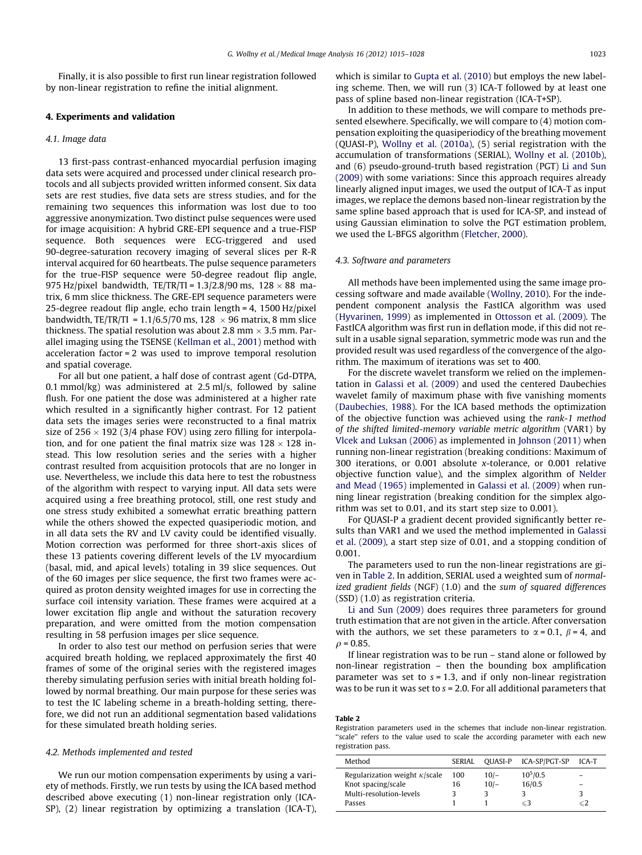Finally, it is also possible to first run linear registration followed by non-linear registration to refine the initial alignment.

#### 4. Experiments and validation

## 4.1. Image data

13 first-pass contrast-enhanced myocardial perfusion imaging data sets were acquired and processed under clinical research protocols and all subjects provided written informed consent. Six data sets are rest studies, five data sets are stress studies, and for the remaining two sequences this information was lost due to too aggressive anonymization. Two distinct pulse sequences were used for image acquisition: A hybrid GRE-EPI sequence and a true-FISP sequence. Both sequences were ECG-triggered and used 90-degree-saturation recovery imaging of several slices per R-R interval acquired for 60 heartbeats. The pulse sequence parameters for the true-FISP sequence were 50-degree readout flip angle, 975 Hz/pixel bandwidth, TE/TR/TI =  $1.3/2.8/90$  ms,  $128 \times 88$  matrix, 6 mm slice thickness. The GRE-EPI sequence parameters were 25-degree readout flip angle, echo train length = 4, 1500 Hz/pixel bandwidth, TE/TR/TI = 1.1/6.5/70 ms, 128  $\times$  96 matrix, 8 mm slice thickness. The spatial resolution was about 2.8 mm  $\times$  3.5 mm. Parallel imaging using the TSENSE [\(Kellman et al., 2001](#page-13-0)) method with acceleration factor = 2 was used to improve temporal resolution and spatial coverage.

For all but one patient, a half dose of contrast agent (Gd-DTPA, 0.1 mmol/kg) was administered at 2.5 ml/s, followed by saline flush. For one patient the dose was administered at a higher rate which resulted in a significantly higher contrast. For 12 patient data sets the images series were reconstructed to a final matrix size of 256  $\times$  192 (3/4 phase FOV) using zero filling for interpolation, and for one patient the final matrix size was  $128 \times 128$  instead. This low resolution series and the series with a higher contrast resulted from acquisition protocols that are no longer in use. Nevertheless, we include this data here to test the robustness of the algorithm with respect to varying input. All data sets were acquired using a free breathing protocol, still, one rest study and one stress study exhibited a somewhat erratic breathing pattern while the others showed the expected quasiperiodic motion, and in all data sets the RV and LV cavity could be identified visually. Motion correction was performed for three short-axis slices of these 13 patients covering different levels of the LV myocardium (basal, mid, and apical levels) totaling in 39 slice sequences. Out of the 60 images per slice sequence, the first two frames were acquired as proton density weighted images for use in correcting the surface coil intensity variation. These frames were acquired at a lower excitation flip angle and without the saturation recovery preparation, and were omitted from the motion compensation resulting in 58 perfusion images per slice sequence.

In order to also test our method on perfusion series that were acquired breath holding, we replaced approximately the first 40 frames of some of the original series with the registered images thereby simulating perfusion series with initial breath holding followed by normal breathing. Our main purpose for these series was to test the IC labeling scheme in a breath-holding setting, therefore, we did not run an additional segmentation based validations for these simulated breath holding series.

## 4.2. Methods implemented and tested

We run our motion compensation experiments by using a variety of methods. Firstly, we run tests by using the ICA based method described above executing (1) non-linear registration only (ICA-SP), (2) linear registration by optimizing a translation (ICA-T), which is similar to [Gupta et al. \(2010\)](#page-12-0) but employs the new labeling scheme. Then, we will run (3) ICA-T followed by at least one pass of spline based non-linear registration (ICA-T+SP).

In addition to these methods, we will compare to methods presented elsewhere. Specifically, we will compare to (4) motion compensation exploiting the quasiperiodicy of the breathing movement (QUASI-P), [Wollny et al. \(2010a\)](#page-13-0), (5) serial registration with the accumulation of transformations (SERIAL), [Wollny et al. \(2010b\),](#page-13-0) and (6) pseudo-ground-truth based registration (PGT) [Li and Sun](#page-13-0) [\(2009\)](#page-13-0) with some variations: Since this approach requires already linearly aligned input images, we used the output of ICA-T as input images, we replace the demons based non-linear registration by the same spline based approach that is used for ICA-SP, and instead of using Gaussian elimination to solve the PGT estimation problem, we used the L-BFGS algorithm [\(Fletcher, 2000\)](#page-12-0).

#### 4.3. Software and parameters

All methods have been implemented using the same image processing software and made available [\(Wollny, 2010](#page-13-0)). For the independent component analysis the FastICA algorithm was used ([Hyvarinen, 1999\)](#page-13-0) as implemented in [Ottosson et al. \(2009\).](#page-13-0) The FastICA algorithm was first run in deflation mode, if this did not result in a usable signal separation, symmetric mode was run and the provided result was used regardless of the convergence of the algorithm. The maximum of iterations was set to 400.

For the discrete wavelet transform we relied on the implementation in [Galassi et al. \(2009\)](#page-12-0) and used the centered Daubechies wavelet family of maximum phase with five vanishing moments ([Daubechies, 1988](#page-12-0)). For the ICA based methods the optimization of the objective function was achieved using the rank-1 method of the shifted limited-memory variable metric algorithm (VAR1) by [Vlcek and Luksan \(2006\)](#page-13-0) as implemented in [Johnson \(2011\)](#page-13-0) when running non-linear registration (breaking conditions: Maximum of 300 iterations, or 0.001 absolute x-tolerance, or 0.001 relative objective function value), and the simplex algorithm of [Nelder](#page-13-0) [and Mead \(1965\)](#page-13-0) implemented in [Galassi et al. \(2009\)](#page-12-0) when running linear registration (breaking condition for the simplex algorithm was set to 0.01, and its start step size to 0.001).

For QUASI-P a gradient decent provided significantly better results than VAR1 and we used the method implemented in [Galassi](#page-12-0) [et al. \(2009\)](#page-12-0), a start step size of 0.01, and a stopping condition of 0.001.

The parameters used to run the non-linear registrations are given in Table 2. In addition, SERIAL used a weighted sum of normalized gradient fields (NGF) (1.0) and the sum of squared differences (SSD) (1.0) as registration criteria.

[Li and Sun \(2009\)](#page-13-0) does requires three parameters for ground truth estimation that are not given in the article. After conversation with the authors, we set these parameters to  $\alpha = 0.1$ ,  $\beta = 4$ , and  $\rho = 0.85$ .

If linear registration was to be run – stand alone or followed by non-linear registration – then the bounding box amplification parameter was set to  $s = 1.3$ , and if only non-linear registration was to be run it was set to  $s = 2.0$ . For all additional parameters that

#### Table 2

Registration parameters used in the schemes that include non-linear registration. "scale" refers to the value used to scale the according parameter with each new registration pass.

| Method                                | SERIAL |        | QUASI-P ICA-SP/PGT-SP | ICA-T |
|---------------------------------------|--------|--------|-----------------------|-------|
| Regularization weight $\kappa$ /scale | 100    | $10/-$ | $10^5/0.5$            |       |
| Knot spacing/scale                    | 16     | $10/-$ | 16/0.5                |       |
| Multi-resolution-levels               |        |        |                       |       |
| Passes                                |        |        |                       |       |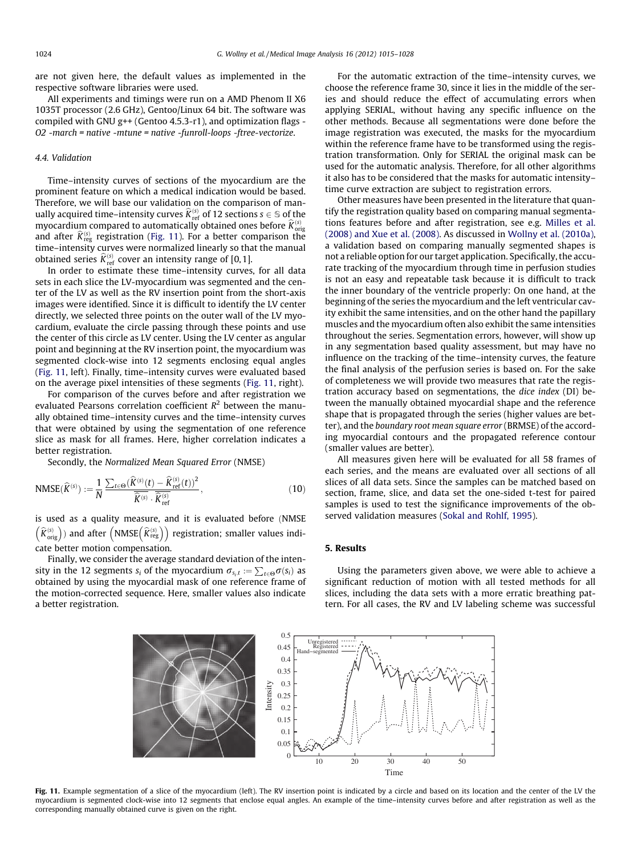<span id="page-9-0"></span>are not given here, the default values as implemented in the respective software libraries were used.

All experiments and timings were run on a AMD Phenom II X6 1035T processor (2.6 GHz), Gentoo/Linux 64 bit. The software was compiled with GNU g++ (Gentoo 4.5.3-r1), and optimization flags - O2 -march = native -mtune = native -funroll-loops -ftree-vectorize.

#### 4.4. Validation

Time–intensity curves of sections of the myocardium are the prominent feature on which a medical indication would be based. Therefore, we will base our validation on the comparison of manually acquired time–intensity curves  $\widehat{K}_{\mathrm{ref}}^{(s)}$  of 12 sections  $s \in \mathbb{S}$  of the myocardium compared to automatically obtained ones before  $\widehat{\mathcal{K}}_\mathrm{orig}^{(\mathrm{s})}$ and after  $\widehat{K}_{\text{reg}}^{(s)}$  registration (Fig. 11). For a better comparison the time–intensity curves were normalized linearly so that the manual obtained series  $\widehat{K}_{\mathrm{ref}}^{ \mathrm{(s)} }$  cover an intensity range of [0,1].

In order to estimate these time–intensity curves, for all data sets in each slice the LV-myocardium was segmented and the center of the LV as well as the RV insertion point from the short-axis images were identified. Since it is difficult to identify the LV center directly, we selected three points on the outer wall of the LV myocardium, evaluate the circle passing through these points and use the center of this circle as LV center. Using the LV center as angular point and beginning at the RV insertion point, the myocardium was segmented clock-wise into 12 segments enclosing equal angles (Fig. 11, left). Finally, time–intensity curves were evaluated based on the average pixel intensities of these segments (Fig. 11, right).

For comparison of the curves before and after registration we evaluated Pearsons correlation coefficient  $R^2$  between the manually obtained time–intensity curves and the time–intensity curves that were obtained by using the segmentation of one reference slice as mask for all frames. Here, higher correlation indicates a better registration.

Secondly, the Normalized Mean Squared Error (NMSE)

$$
NMSE(\widehat{K}^{(s)}) := \frac{1}{N} \frac{\sum_{t \in \Theta} (\widehat{K}^{(s)}(t) - \widehat{K}_{\text{ref}}^{(s)}(t))^2}{\widehat{K}^{(s)}} ,\n \tag{10}
$$

is used as a quality measure, and it is evaluated before (NMSE  $(\widehat{K}_{orig}^{(s)})$  and after  $(NMSE(\widehat{K}_{reg}^{(s)})$  registration; smaller values indicate better motion compensation.

Finally, we consider the average standard deviation of the intensity in the 12 segments  $s_i$  of the myocardium  $\sigma_{s_i,t} := \sum_{t \in \Theta} \sigma(s_i)$  as obtained by using the myocardial mask of one reference frame of the motion-corrected sequence. Here, smaller values also indicate a better registration.

For the automatic extraction of the time–intensity curves, we choose the reference frame 30, since it lies in the middle of the series and should reduce the effect of accumulating errors when applying SERIAL, without having any specific influence on the other methods. Because all segmentations were done before the image registration was executed, the masks for the myocardium within the reference frame have to be transformed using the registration transformation. Only for SERIAL the original mask can be used for the automatic analysis. Therefore, for all other algorithms it also has to be considered that the masks for automatic intensity– time curve extraction are subject to registration errors.

Other measures have been presented in the literature that quantify the registration quality based on comparing manual segmentations features before and after registration, see e.g. [Milles et al.](#page-13-0) [\(2008\) and Xue et al. \(2008\).](#page-13-0) As discussed in [Wollny et al. \(2010a\),](#page-13-0) a validation based on comparing manually segmented shapes is not a reliable option for our target application. Specifically, the accurate tracking of the myocardium through time in perfusion studies is not an easy and repeatable task because it is difficult to track the inner boundary of the ventricle properly: On one hand, at the beginning of the series the myocardium and the left ventricular cavity exhibit the same intensities, and on the other hand the papillary muscles and the myocardium often also exhibit the same intensities throughout the series. Segmentation errors, however, will show up in any segmentation based quality assessment, but may have no influence on the tracking of the time–intensity curves, the feature the final analysis of the perfusion series is based on. For the sake of completeness we will provide two measures that rate the registration accuracy based on segmentations, the dice index (DI) between the manually obtained myocardial shape and the reference shape that is propagated through the series (higher values are better), and the boundary root mean square error (BRMSE) of the according myocardial contours and the propagated reference contour (smaller values are better).

All measures given here will be evaluated for all 58 frames of each series, and the means are evaluated over all sections of all slices of all data sets. Since the samples can be matched based on section, frame, slice, and data set the one-sided t-test for paired samples is used to test the significance improvements of the observed validation measures [\(Sokal and Rohlf, 1995\)](#page-13-0).

#### 5. Results



Using the parameters given above, we were able to achieve a significant reduction of motion with all tested methods for all slices, including the data sets with a more erratic breathing pattern. For all cases, the RV and LV labeling scheme was successful

Fig. 11. Example segmentation of a slice of the myocardium (left). The RV insertion point is indicated by a circle and based on its location and the center of the LV the myocardium is segmented clock-wise into 12 segments that enclose equal angles. An example of the time–intensity curves before and after registration as well as the corresponding manually obtained curve is given on the right.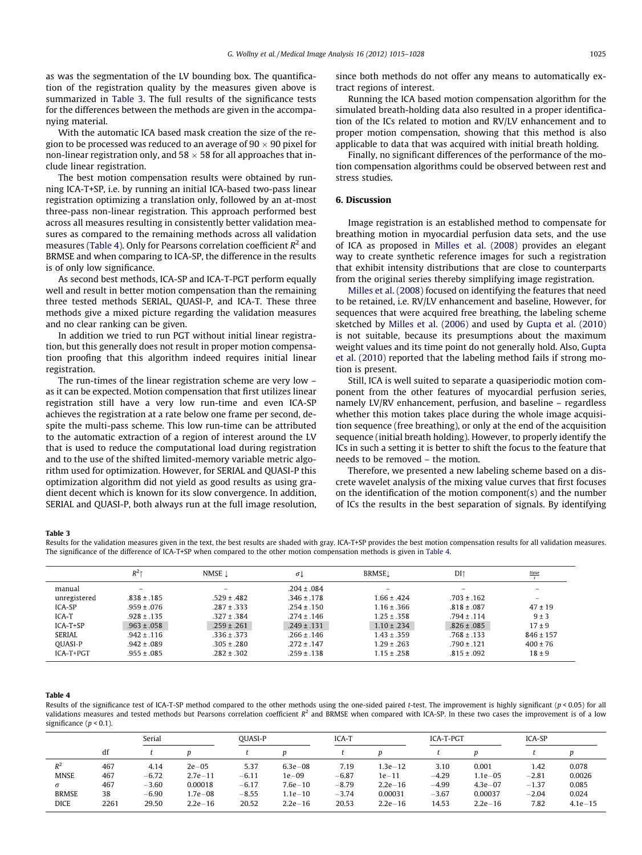as was the segmentation of the LV bounding box. The quantification of the registration quality by the measures given above is summarized in Table 3. The full results of the significance tests for the differences between the methods are given in the accompanying material.

With the automatic ICA based mask creation the size of the region to be processed was reduced to an average of 90  $\times$  90 pixel for non-linear registration only, and  $58 \times 58$  for all approaches that include linear registration.

The best motion compensation results were obtained by running ICA-T+SP, i.e. by running an initial ICA-based two-pass linear registration optimizing a translation only, followed by an at-most three-pass non-linear registration. This approach performed best across all measures resulting in consistently better validation measures as compared to the remaining methods across all validation measures (Table 4). Only for Pearsons correlation coefficient  $R^2$  and BRMSE and when comparing to ICA-SP, the difference in the results is of only low significance.

As second best methods, ICA-SP and ICA-T-PGT perform equally well and result in better motion compensation than the remaining three tested methods SERIAL, QUASI-P, and ICA-T. These three methods give a mixed picture regarding the validation measures and no clear ranking can be given.

In addition we tried to run PGT without initial linear registration, but this generally does not result in proper motion compensation proofing that this algorithm indeed requires initial linear registration.

The run-times of the linear registration scheme are very low – as it can be expected. Motion compensation that first utilizes linear registration still have a very low run-time and even ICA-SP achieves the registration at a rate below one frame per second, despite the multi-pass scheme. This low run-time can be attributed to the automatic extraction of a region of interest around the LV that is used to reduce the computational load during registration and to the use of the shifted limited-memory variable metric algorithm used for optimization. However, for SERIAL and QUASI-P this optimization algorithm did not yield as good results as using gradient decent which is known for its slow convergence. In addition, SERIAL and QUASI-P, both always run at the full image resolution, since both methods do not offer any means to automatically extract regions of interest.

Running the ICA based motion compensation algorithm for the simulated breath-holding data also resulted in a proper identification of the ICs related to motion and RV/LV enhancement and to proper motion compensation, showing that this method is also applicable to data that was acquired with initial breath holding.

Finally, no significant differences of the performance of the motion compensation algorithms could be observed between rest and stress studies.

## 6. Discussion

Image registration is an established method to compensate for breathing motion in myocardial perfusion data sets, and the use of ICA as proposed in [Milles et al. \(2008\)](#page-13-0) provides an elegant way to create synthetic reference images for such a registration that exhibit intensity distributions that are close to counterparts from the original series thereby simplifying image registration.

[Milles et al. \(2008\)](#page-13-0) focused on identifying the features that need to be retained, i.e. RV/LV enhancement and baseline, However, for sequences that were acquired free breathing, the labeling scheme sketched by [Milles et al. \(2006\)](#page-13-0) and used by [Gupta et al. \(2010\)](#page-12-0) is not suitable, because its presumptions about the maximum weight values and its time point do not generally hold. Also, [Gupta](#page-12-0) [et al. \(2010\)](#page-12-0) reported that the labeling method fails if strong motion is present.

Still, ICA is well suited to separate a quasiperiodic motion component from the other features of myocardial perfusion series, namely LV/RV enhancement, perfusion, and baseline – regardless whether this motion takes place during the whole image acquisition sequence (free breathing), or only at the end of the acquisition sequence (initial breath holding). However, to properly identify the ICs in such a setting it is better to shift the focus to the feature that needs to be removed – the motion.

Therefore, we presented a new labeling scheme based on a discrete wavelet analysis of the mixing value curves that first focuses on the identification of the motion component(s) and the number of ICs the results in the best separation of signals. By identifying

#### Table 3

Results for the validation measures given in the text, the best results are shaded with gray. ICA-T+SP provides the best motion compensation results for all validation measures. The significance of the difference of ICA-T+SP when compared to the other motion compensation methods is given in Table 4.

|               | $R^2$ 1         | NMSE 1                   | $\sigma$        | <b>BRMSE</b> 1           | DIt             | time                         |
|---------------|-----------------|--------------------------|-----------------|--------------------------|-----------------|------------------------------|
| manual        | $\sim$          | $\overline{\phantom{a}}$ | $.204 \pm .084$ | $\overline{\phantom{a}}$ |                 | $\overline{\phantom{a}}$     |
| unregistered  | $.838 \pm .185$ | $.529 \pm .482$          | $.346 \pm .178$ | $1.66 \pm .424$          | $.703 \pm .162$ | $\qquad \qquad \blacksquare$ |
| ICA-SP        | $.959 \pm .076$ | $.287 + .333$            | $.254 \pm .150$ | $1.16 \pm .366$          | $.818 \pm .087$ | $47 \pm 19$                  |
| ICA-T         | $.928 \pm .135$ | $.327 \pm .384$          | $.274 \pm .146$ | $1.25 + .358$            | $.794 \pm .114$ | $9 \pm 3$                    |
| $ICA-T+SP$    | $.963 \pm .058$ | $.259 \pm .261$          | $.249 \pm .131$ | $1.10 \pm .234$          | $.826 \pm .085$ | $17 + 9$                     |
| <b>SERIAL</b> | $.942 \pm .116$ | $.336 \pm .373$          | $.266 \pm .146$ | $1.43 \pm .359$          | $.768 \pm .133$ | $846 \pm 157$                |
| OUASI-P       | $.942 \pm .089$ | $.305 \pm .280$          | $.272 \pm .147$ | $1.29 \pm .263$          | $.790 \pm .121$ | $400 \pm 76$                 |
| ICA-T+PGT     | $.955 \pm .085$ | $.282 \pm .302$          | $.259 \pm .138$ | $1.15 \pm .258$          | $.815 \pm .092$ | $18 \pm 9$                   |

#### Table 4

Results of the significance test of ICA-T-SP method compared to the other methods using the one-sided paired t-test. The improvement is highly significant ( $p < 0.05$ ) for all validations measures and tested methods but Pearsons correlation coefficient  $R^2$  and BRMSE when compared with ICA-SP. In these two cases the improvement is of a low significance  $(p < 0.1)$ .

|              | Serial |         | OUASI-P     |         | ICA-T       |         | ICA-T-PGT |         | ICA-SP      |         |           |
|--------------|--------|---------|-------------|---------|-------------|---------|-----------|---------|-------------|---------|-----------|
|              | df     |         |             |         |             |         |           |         |             |         |           |
| $R^2$        | 467    | 4.14    | $2e - 05$   | 5.37    | $6.3e - 08$ | 7.19    | $1.3e-12$ | 3.10    | 0.001       | 1.42    | 0.078     |
| <b>MNSE</b>  | 467    | $-6.72$ | $2.7e-11$   | $-6.11$ | $1e - 09$   | $-6.87$ | $1e - 11$ | $-4.29$ | $1.1e - 05$ | $-2.81$ | 0.0026    |
| $\sigma$     | 467    | $-3.60$ | 0.00018     | $-6.17$ | $7.6e - 10$ | $-8.79$ | $2.2e-16$ | $-4.99$ | $4.3e - 07$ | $-1.37$ | 0.085     |
| <b>BRMSE</b> | 38     | $-6.90$ | $1.7e - 08$ | $-8.55$ | $1.1e - 10$ | $-3.74$ | 0.00031   | $-3.67$ | 0.00037     | $-2.04$ | 0.024     |
| <b>DICE</b>  | 2261   | 29.50   | $2.2e-16$   | 20.52   | $2.2e-16$   | 20.53   | $2.2e-16$ | 14.53   | $2.2e-16$   | 7.82    | $4.1e-15$ |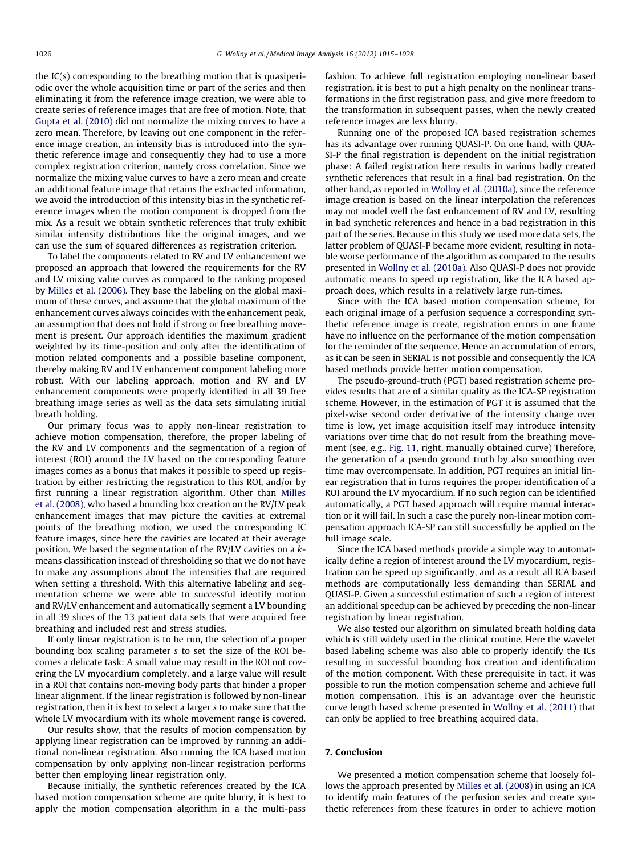the IC(s) corresponding to the breathing motion that is quasiperiodic over the whole acquisition time or part of the series and then eliminating it from the reference image creation, we were able to create series of reference images that are free of motion. Note, that [Gupta et al. \(2010\)](#page-12-0) did not normalize the mixing curves to have a zero mean. Therefore, by leaving out one component in the reference image creation, an intensity bias is introduced into the synthetic reference image and consequently they had to use a more complex registration criterion, namely cross correlation. Since we normalize the mixing value curves to have a zero mean and create an additional feature image that retains the extracted information, we avoid the introduction of this intensity bias in the synthetic reference images when the motion component is dropped from the mix. As a result we obtain synthetic references that truly exhibit similar intensity distributions like the original images, and we can use the sum of squared differences as registration criterion.

To label the components related to RV and LV enhancement we proposed an approach that lowered the requirements for the RV and LV mixing value curves as compared to the ranking proposed by [Milles et al. \(2006\)](#page-13-0). They base the labeling on the global maximum of these curves, and assume that the global maximum of the enhancement curves always coincides with the enhancement peak, an assumption that does not hold if strong or free breathing movement is present. Our approach identifies the maximum gradient weighted by its time-position and only after the identification of motion related components and a possible baseline component, thereby making RV and LV enhancement component labeling more robust. With our labeling approach, motion and RV and LV enhancement components were properly identified in all 39 free breathing image series as well as the data sets simulating initial breath holding.

Our primary focus was to apply non-linear registration to achieve motion compensation, therefore, the proper labeling of the RV and LV components and the segmentation of a region of interest (ROI) around the LV based on the corresponding feature images comes as a bonus that makes it possible to speed up registration by either restricting the registration to this ROI, and/or by first running a linear registration algorithm. Other than [Milles](#page-13-0) [et al. \(2008\)](#page-13-0), who based a bounding box creation on the RV/LV peak enhancement images that may picture the cavities at extremal points of the breathing motion, we used the corresponding IC feature images, since here the cavities are located at their average position. We based the segmentation of the RV/LV cavities on a kmeans classification instead of thresholding so that we do not have to make any assumptions about the intensities that are required when setting a threshold. With this alternative labeling and segmentation scheme we were able to successful identify motion and RV/LV enhancement and automatically segment a LV bounding in all 39 slices of the 13 patient data sets that were acquired free breathing and included rest and stress studies.

If only linear registration is to be run, the selection of a proper bounding box scaling parameter s to set the size of the ROI becomes a delicate task: A small value may result in the ROI not covering the LV myocardium completely, and a large value will result in a ROI that contains non-moving body parts that hinder a proper linear alignment. If the linear registration is followed by non-linear registration, then it is best to select a larger s to make sure that the whole LV myocardium with its whole movement range is covered.

Our results show, that the results of motion compensation by applying linear registration can be improved by running an additional non-linear registration. Also running the ICA based motion compensation by only applying non-linear registration performs better then employing linear registration only.

Because initially, the synthetic references created by the ICA based motion compensation scheme are quite blurry, it is best to apply the motion compensation algorithm in a the multi-pass fashion. To achieve full registration employing non-linear based registration, it is best to put a high penalty on the nonlinear transformations in the first registration pass, and give more freedom to the transformation in subsequent passes, when the newly created reference images are less blurry.

Running one of the proposed ICA based registration schemes has its advantage over running QUASI-P. On one hand, with QUA-SI-P the final registration is dependent on the initial registration phase: A failed registration here results in various badly created synthetic references that result in a final bad registration. On the other hand, as reported in [Wollny et al. \(2010a\)](#page-13-0), since the reference image creation is based on the linear interpolation the references may not model well the fast enhancement of RV and LV, resulting in bad synthetic references and hence in a bad registration in this part of the series. Because in this study we used more data sets, the latter problem of QUASI-P became more evident, resulting in notable worse performance of the algorithm as compared to the results presented in [Wollny et al. \(2010a\).](#page-13-0) Also QUASI-P does not provide automatic means to speed up registration, like the ICA based approach does, which results in a relatively large run-times.

Since with the ICA based motion compensation scheme, for each original image of a perfusion sequence a corresponding synthetic reference image is create, registration errors in one frame have no influence on the performance of the motion compensation for the reminder of the sequence. Hence an accumulation of errors, as it can be seen in SERIAL is not possible and consequently the ICA based methods provide better motion compensation.

The pseudo-ground-truth (PGT) based registration scheme provides results that are of a similar quality as the ICA-SP registration scheme. However, in the estimation of PGT it is assumed that the pixel-wise second order derivative of the intensity change over time is low, yet image acquisition itself may introduce intensity variations over time that do not result from the breathing movement (see, e.g., [Fig. 11,](#page-9-0) right, manually obtained curve) Therefore, the generation of a pseudo ground truth by also smoothing over time may overcompensate. In addition, PGT requires an initial linear registration that in turns requires the proper identification of a ROI around the LV myocardium. If no such region can be identified automatically, a PGT based approach will require manual interaction or it will fail. In such a case the purely non-linear motion compensation approach ICA-SP can still successfully be applied on the full image scale.

Since the ICA based methods provide a simple way to automatically define a region of interest around the LV myocardium, registration can be speed up significantly, and as a result all ICA based methods are computationally less demanding than SERIAL and QUASI-P. Given a successful estimation of such a region of interest an additional speedup can be achieved by preceding the non-linear registration by linear registration.

We also tested our algorithm on simulated breath holding data which is still widely used in the clinical routine. Here the wavelet based labeling scheme was also able to properly identify the ICs resulting in successful bounding box creation and identification of the motion component. With these prerequisite in tact, it was possible to run the motion compensation scheme and achieve full motion compensation. This is an advantage over the heuristic curve length based scheme presented in [Wollny et al. \(2011\)](#page-13-0) that can only be applied to free breathing acquired data.

## 7. Conclusion

We presented a motion compensation scheme that loosely follows the approach presented by [Milles et al. \(2008\)](#page-13-0) in using an ICA to identify main features of the perfusion series and create synthetic references from these features in order to achieve motion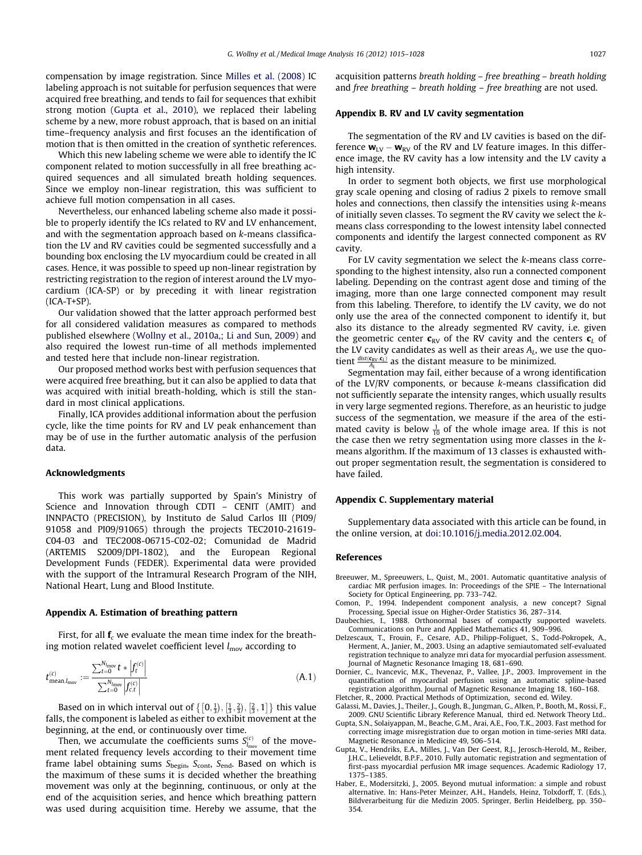<span id="page-12-0"></span>compensation by image registration. Since [Milles et al. \(2008\)](#page-13-0) IC labeling approach is not suitable for perfusion sequences that were acquired free breathing, and tends to fail for sequences that exhibit strong motion (Gupta et al., 2010), we replaced their labeling scheme by a new, more robust approach, that is based on an initial time–frequency analysis and first focuses an the identification of motion that is then omitted in the creation of synthetic references.

Which this new labeling scheme we were able to identify the IC component related to motion successfully in all free breathing acquired sequences and all simulated breath holding sequences. Since we employ non-linear registration, this was sufficient to achieve full motion compensation in all cases.

Nevertheless, our enhanced labeling scheme also made it possible to properly identify the ICs related to RV and LV enhancement, and with the segmentation approach based on k-means classification the LV and RV cavities could be segmented successfully and a bounding box enclosing the LV myocardium could be created in all cases. Hence, it was possible to speed up non-linear registration by restricting registration to the region of interest around the LV myocardium (ICA-SP) or by preceding it with linear registration (ICA-T+SP).

Our validation showed that the latter approach performed best for all considered validation measures as compared to methods published elsewhere [\(Wollny et al., 2010a,; Li and Sun, 2009\)](#page-13-0) and also required the lowest run-time of all methods implemented and tested here that include non-linear registration.

Our proposed method works best with perfusion sequences that were acquired free breathing, but it can also be applied to data that was acquired with initial breath-holding, which is still the standard in most clinical applications.

Finally, ICA provides additional information about the perfusion cycle, like the time points for RV and LV peak enhancement than may be of use in the further automatic analysis of the perfusion data.

#### Acknowledgments

This work was partially supported by Spain's Ministry of Science and Innovation through CDTI – CENIT (AMIT) and INNPACTO (PRECISION), by Instituto de Salud Carlos III (PI09/ 91058 and PI09/91065) through the projects TEC2010-21619- C04-03 and TEC2008-06715-C02-02; Comunidad de Madrid (ARTEMIS S2009/DPI-1802), and the European Regional Development Funds (FEDER). Experimental data were provided with the support of the Intramural Research Program of the NIH, National Heart, Lung and Blood Institute.

#### Appendix A. Estimation of breathing pattern

First, for all  $f_c$  we evaluate the mean time index for the breathing motion related wavelet coefficient level  $l_{\text{mov}}$  according to

$$
t_{\text{mean},l_{\text{mov}}}^{(c)} := \frac{\sum_{t=0}^{N_{\text{imov}}} t * |f_t^{(c)}|}{\sum_{t=0}^{N_{\text{imov}}} |f_{c,t}^{(c)}|}
$$
(A.1)

Based on in which interval out of  $\{[0,\frac{1}{3}),[\frac{1}{3},\frac{2}{3}),[\frac{2}{3},1]\}$  this value falls, the component is labeled as either to exhibit movement at the beginning, at the end, or continuously over time.

Then, we accumulate the coefficients sums  $S_{l_{\rm mov}}^{(c)}$  of the movement related frequency levels according to their movement time frame label obtaining sums  $S_{begin}$ ,  $S_{\text{cont}}$ ,  $S_{\text{end}}$ . Based on which is the maximum of these sums it is decided whether the breathing movement was only at the beginning, continuous, or only at the end of the acquisition series, and hence which breathing pattern was used during acquisition time. Hereby we assume, that the acquisition patterns breath holding – free breathing – breath holding and free breathing – breath holding – free breathing are not used.

## Appendix B. RV and LV cavity segmentation

The segmentation of the RV and LV cavities is based on the difference  $w_{\text{IV}} - w_{\text{RV}}$  of the RV and LV feature images. In this difference image, the RV cavity has a low intensity and the LV cavity a high intensity.

In order to segment both objects, we first use morphological gray scale opening and closing of radius 2 pixels to remove small holes and connections, then classify the intensities using k-means of initially seven classes. To segment the RV cavity we select the kmeans class corresponding to the lowest intensity label connected components and identify the largest connected component as RV cavity.

For LV cavity segmentation we select the k-means class corresponding to the highest intensity, also run a connected component labeling. Depending on the contrast agent dose and timing of the imaging, more than one large connected component may result from this labeling. Therefore, to identify the LV cavity, we do not only use the area of the connected component to identify it, but also its distance to the already segmented RV cavity, i.e. given the geometric center  $c_{RV}$  of the RV cavity and the centers  $c_L$  of the LV cavity candidates as well as their areas  $A<sub>L</sub>$ , we use the quotient  $\frac{dist(\mathbf{c}_{\text{RV}}, \mathbf{c}_L)}{A_L}$  as the distant measure to be minimized.

Segmentation may fail, either because of a wrong identification of the LV/RV components, or because k-means classification did not sufficiently separate the intensity ranges, which usually results in very large segmented regions. Therefore, as an heuristic to judge success of the segmentation, we measure if the area of the estimated cavity is below  $\frac{1}{10}$  of the whole image area. If this is not the case then we retry segmentation using more classes in the kmeans algorithm. If the maximum of 13 classes is exhausted without proper segmentation result, the segmentation is considered to have failed.

#### Appendix C. Supplementary material

Supplementary data associated with this article can be found, in the online version, at [doi:10.1016/j.media.2012.02.004](http://dx.doi.org/10.1016/j.media.2012.02.004).

#### References

- Breeuwer, M., Spreeuwers, L., Quist, M., 2001. Automatic quantitative analysis of cardiac MR perfusion images. In: Proceedings of the SPIE – The International Society for Optical Engineering, pp. 733–742.
- Comon, P., 1994. Independent component analysis, a new concept? Signal Processing, Special issue on Higher-Order Statistics 36, 287–314.
- Daubechies, I., 1988. Orthonormal bases of compactly supported wavelets. Communications on Pure and Applied Mathematics 41, 909–996.
- Delzescaux, T., Frouin, F., Cesare, A.D., Philipp-Foliguet, S., Todd-Pokropek, A., Herment, A., Janier, M., 2003. Using an adaptive semiautomated self-evaluated registration technique to analyze mri data for myocardial perfusion assessment. Journal of Magnetic Resonance Imaging 18, 681–690.
- Dornier, C., Ivancevic, M.K., Thevenaz, P., Vallee, J.P., 2003. Improvement in the quantification of myocardial perfusion using an automatic spline-based registration algorithm. Journal of Magnetic Resonance Imaging 18, 160–168. Fletcher, R., 2000. Practical Methods of Optimization, second ed. Wiley.
- Galassi, M., Davies, J., Theiler, J., Gough, B., Jungman, G., Alken, P., Booth, M., Rossi, F.,
- 2009. GNU Scientific Library Reference Manual, third ed. Network Theory Ltd..
- Gupta, S.N., Solaiyappan, M., Beache, G.M., Arai, A.E., Foo, T.K., 2003. Fast method for correcting image misregistration due to organ motion in time-series MRI data. Magnetic Resonance in Medicine 49, 506–514.
- Gupta, V., Hendriks, E.A., Milles, J., Van Der Geest, R.J., Jerosch-Herold, M., Reiber, J.H.C., Lelieveldt, B.P.F., 2010. Fully automatic registration and segmentation of first-pass myocardial perfusion MR image sequences. Academic Radiology 17, 1375–1385.
- Haber, E., Modersitzki, J., 2005. Beyond mutual information: a simple and robust alternative. In: Hans-Peter Meinzer, A.H., Handels, Heinz, Tolxdorff, T. (Eds.), Bildverarbeitung für die Medizin 2005. Springer, Berlin Heidelberg, pp. 350– 354.